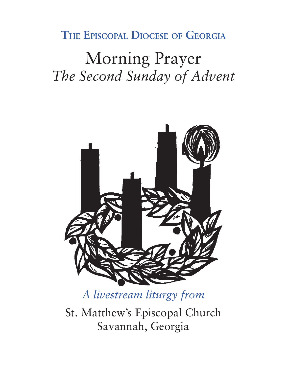# **The Episcopal Diocese of Georgia**

# Morning Prayer *The Second Sunday of Advent*



*A livestream liturgy from*

St. Matthew's Episcopal Church Savannah, Georgia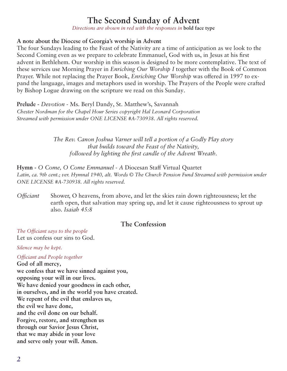# **The Second Sunday of Advent**

*Directions are shown in red with the responses in* **bold face type**

# **A note about the Diocese of Georgia's worship in Advent**

The four Sundays leading to the Feast of the Nativity are a time of anticipation as we look to the Second Coming even as we prepare to celebrate Emmanuel, God with us, in Jesus at his first advent in Bethlehem. Our worship in this season is designed to be more contemplative. The text of these services use Morning Prayer in *Enriching Our Worship I* together with the Book of Common Prayer. While not replacing the Prayer Book, *Enriching Our Worship* was offered in 1997 to expand the language, images and metaphors used in worship. The Prayers of the People were crafted by Bishop Logue drawing on the scripture we read on this Sunday.

**Prelude -** *Devotion -* Ms. Beryl Dandy, St. Matthew's, Savannah *Chester Nordman for the Chapel Hour Series copyright Hal Leonard Corporation Streamed with permission under ONE LICENSE #A-730938. All rights reserved.*

> *The Rev. Canon Joshua Varner will tell a portion of a Godly Play story that builds toward the Feast of the Nativity, followed by lighting the first candle of the Advent Wreath.*

**Hymn -** *O Come, O Come Emmanuel - A* Diocesan Staff Virtual Quartet *Latin, ca. 9th cent.; ver. Hymnal 1940, alt. Words © The Church Pension Fund Streamed with permission under ONE LICENSE #A-730938. All rights reserved.*

*Officiant* Shower, O heavens, from above, and let the skies rain down righteousness; let the earth open, that salvation may spring up, and let it cause righteousness to sprout up also. *Isaiah 45:8*

# **The Confession**

*The Officiant says to the people* Let us confess our sins to God.

*Silence may be kept.*

#### *Officiant and People together*

**God of all mercy, we confess that we have sinned against you, opposing your will in our lives. We have denied your goodness in each other, in ourselves, and in the world you have created. We repent of the evil that enslaves us, the evil we have done, and the evil done on our behalf. Forgive, restore, and strengthen us through our Savior Jesus Christ, that we may abide in your love and serve only your will. Amen.**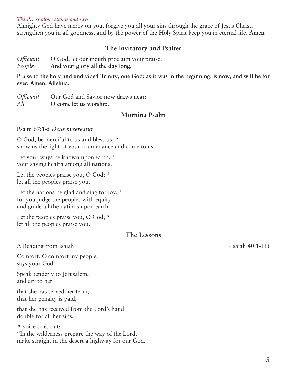#### *The Priest alone stands and says*

Almighty God have mercy on you, forgive you all your sins through the grace of Jesus Christ, strengthen you in all goodness, and by the power of the Holy Spirit keep you in eternal life. **Amen.**

# **The Invitatory and Psalter**

*Officiant* O God, let our mouth proclaim your praise.

*People* **And your glory all the day long.** 

**Praise to the holy and undivided Trinity, one God: as it was in the beginning, is now, and will be for ever. Amen. Alleluia.**

*Officiant* Our God and Savior now draws near: *All* **O come let us worship.**

# **Morning Psalm**

#### **Psalm 67:1-5** *Deus misereatur*

O God, be merciful to us and bless us, \* show us the light of your countenance and come to us.

Let your ways be known upon earth,  $*$ your saving health among all nations.

Let the peoples praise you, O God;  $*$ let all the peoples praise you.

Let the nations be glad and sing for joy, \* for you judge the peoples with equity and guide all the nations upon earth.

Let the peoples praise you, O God;  $*$ let all the peoples praise you.

# **The Lessons**

A Reading from Isaiah (Isaiah 40:1-11)

Comfort, O comfort my people, says your God.

Speak tenderly to Jerusalem, and cry to her

that she has served her term, that her penalty is paid,

that she has received from the Lord's hand double for all her sins.

A voice cries out: "In the wilderness prepare the way of the Lord, make straight in the desert a highway for our God.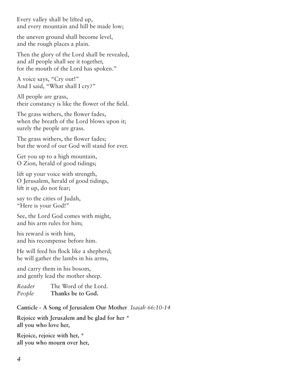Every valley shall be lifted up, and every mountain and hill be made low;

the uneven ground shall become level, and the rough places a plain.

Then the glory of the Lord shall be revealed, and all people shall see it together, for the mouth of the Lord has spoken."

A voice says, "Cry out!" And I said, "What shall I cry?"

All people are grass, their constancy is like the flower of the field.

The grass withers, the flower fades, when the breath of the Lord blows upon it; surely the people are grass.

The grass withers, the flower fades; but the word of our God will stand for ever.

Get you up to a high mountain, O Zion, herald of good tidings;

lift up your voice with strength, O Jerusalem, herald of good tidings, lift it up, do not fear;

say to the cities of Judah, "Here is your God!"

See, the Lord God comes with might, and his arm rules for him;

his reward is with him, and his recompense before him.

He will feed his flock like a shepherd; he will gather the lambs in his arms,

and carry them in his bosom, and gently lead the mother sheep.

*Reader* The Word of the Lord. *People* **Thanks be to God.**

**Canticle - A Song of Jerusalem Our Mother** *Isaiah 66:10-14*

**Rejoice with Jerusalem and be glad for her \* all you who love her,**

**Rejoice, rejoice with her, \* all you who mourn over her,**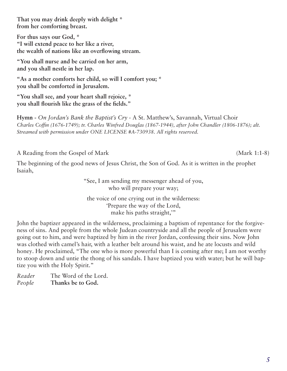**That you may drink deeply with delight \* from her comforting breast.**

**For thus says our God, \* "I will extend peace to her like a river, the wealth of nations like an overflowing stream.**

**"You shall nurse and be carried on her arm, and you shall nestle in her lap.**

**"As a mother comforts her child, so will I comfort you; \* you shall be comforted in Jerusalem.**

**"You shall see, and your heart shall rejoice, \* you shall flourish like the grass of the fields."**

**Hymn -** *On Jordan's Bank the Baptist's Cry -* A St. Matthew's, Savannah, Virtual Choir *Charles Coffin (1676-1749); tr. Charles Winfred Douglas (1867-1944), after John Chandler (1806-1876); alt. Streamed with permission under ONE LICENSE #A-730938. All rights reserved.*

A Reading from the Gospel of Mark (Mark 1:1-8)

The beginning of the good news of Jesus Christ, the Son of God. As it is written in the prophet Isaiah,

> "See, I am sending my messenger ahead of you, who will prepare your way; the voice of one crying out in the wilderness:

'Prepare the way of the Lord, make his paths straight,"

John the baptizer appeared in the wilderness, proclaiming a baptism of repentance for the forgiveness of sins. And people from the whole Judean countryside and all the people of Jerusalem were going out to him, and were baptized by him in the river Jordan, confessing their sins. Now John was clothed with camel's hair, with a leather belt around his waist, and he ate locusts and wild honey. He proclaimed, "The one who is more powerful than I is coming after me; I am not worthy to stoop down and untie the thong of his sandals. I have baptized you with water; but he will baptize you with the Holy Spirit."

*Reader* The Word of the Lord. *People* **Thanks be to God.**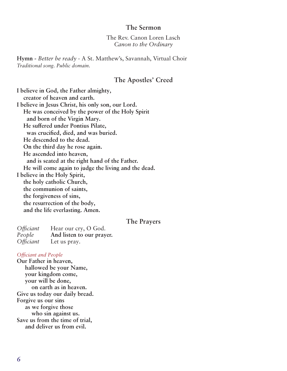## **The Sermon**

The Rev. Canon Loren Lasch *Canon to the Ordinary*

**Hymn -** *Better be ready -* A St. Matthew's, Savannah, Virtual Choir *Traditional song. Public domain.*

# **The Apostles' Creed**

**I believe in God, the Father almighty, creator of heaven and earth. I believe in Jesus Christ, his only son, our Lord. He was conceived by the power of the Holy Spirit and born of the Virgin Mary. He suffered under Pontius Pilate, was crucified, died, and was buried. He descended to the dead. On the third day he rose again. He ascended into heaven, and is seated at the right hand of the Father. He will come again to judge the living and the dead. I believe in the Holy Spirit, the holy catholic Church, the communion of saints, the forgiveness of sins, the resurrection of the body, and the life everlasting. Amen.**

#### **The Prayers**

| <i><b>Officiant</b></i> | Hear our cry, O God.      |
|-------------------------|---------------------------|
| People                  | And listen to our prayer. |
| <i><b>Officiant</b></i> | Let us pray.              |

#### *Officiant and People*

**Our Father in heaven, hallowed be your Name, your kingdom come, your will be done, on earth as in heaven. Give us today our daily bread. Forgive us our sins as we forgive those who sin against us. Save us from the time of trial, and deliver us from evil.**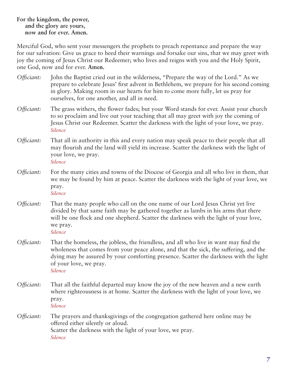# **For the kingdom, the power, and the glory are yours, now and for ever. Amen.**

Merciful God, who sent your messengers the prophets to preach repentance and prepare the way for our salvation: Give us grace to heed their warnings and forsake our sins, that we may greet with joy the coming of Jesus Christ our Redeemer; who lives and reigns with you and the Holy Spirit, one God, now and for ever. **Amen.**

- *Officiant:* John the Baptist cried out in the wilderness, "Prepare the way of the Lord." As we prepare to celebrate Jesus' first advent in Bethlehem, we prepare for his second coming in glory. Making room in our hearts for him to come more fully, let us pray for ourselves, for one another, and all in need.
- *Officiant:* The grass withers, the flower fades; but your Word stands for ever. Assist your church to so proclaim and live out your teaching that all may greet with joy the coming of Jesus Christ our Redeemer. Scatter the darkness with the light of your love, we pray.  *Silence*
- *Officiant:* That all in authority in this and every nation may speak peace to their people that all may flourish and the land will yield its increase. Scatter the darkness with the light of your love, we pray.  *Silence*
- *Officiant:* For the many cities and towns of the Diocese of Georgia and all who live in them, that we may be found by him at peace. Scatter the darkness with the light of your love, we pray.  *Silence*
- *Officiant:* That the many people who call on the one name of our Lord Jesus Christ yet live divided by that same faith may be gathered together as lambs in his arms that there will be one flock and one shepherd. Scatter the darkness with the light of your love, we pray.  *Silence*
- *Officiant:* That the homeless, the jobless, the friendless, and all who live in want may find the wholeness that comes from your peace alone, and that the sick, the suffering, and the dying may be assured by your comforting presence. Scatter the darkness with the light of your love, we pray.  *Silence*
	-
- *Officiant:* That all the faithful departed may know the joy of the new heaven and a new earth where righteousness is at home. Scatter the darkness with the light of your love, we pray.  *Silence*
- *Officiant:* The prayers and thanksgivings of the congregation gathered here online may be offered either silently or aloud. Scatter the darkness with the light of your love, we pray.  *Silence*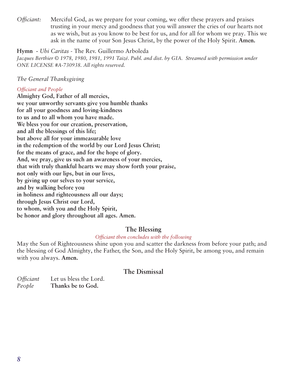*Officiant:* Merciful God, as we prepare for your coming, we offer these prayers and praises trusting in your mercy and goodness that you will answer the cries of our hearts not as we wish, but as you know to be best for us, and for all for whom we pray. This we ask in the name of your Son Jesus Christ, by the power of the Holy Spirit. **Amen.** 

# **Hymn -** *Ubi Caritas -* The Rev. Guillermo Arboleda

*Jacques Berthier © 1978, 1980, 1981, 1991 Taizé. Publ. and dist. by GIA. Streamed with permission under ONE LICENSE #A-730938. All rights reserved.*

# *The General Thanksgiving*

# *Officiant and People*

**Almighty God, Father of all mercies, we your unworthy servants give you humble thanks for all your goodness and loving-kindness to us and to all whom you have made. We bless you for our creation, preservation, and all the blessings of this life; but above all for your immeasurable love in the redemption of the world by our Lord Jesus Christ; for the means of grace, and for the hope of glory. And, we pray, give us such an awareness of your mercies, that with truly thankful hearts we may show forth your praise, not only with our lips, but in our lives, by giving up our selves to your service, and by walking before you in holiness and righteousness all our days; through Jesus Christ our Lord, to whom, with you and the Holy Spirit, be honor and glory throughout all ages. Amen.**

# **The Blessing**

# *Officiant then concludes with the following*

May the Sun of Righteousness shine upon you and scatter the darkness from before your path; and the blessing of God Almighty, the Father, the Son, and the Holy Spirit, be among you, and remain with you always. **Amen.**

# **The Dismissal**

| <i>Officiant</i> | Let us bless the Lord. |
|------------------|------------------------|
| People           | Thanks be to God.      |